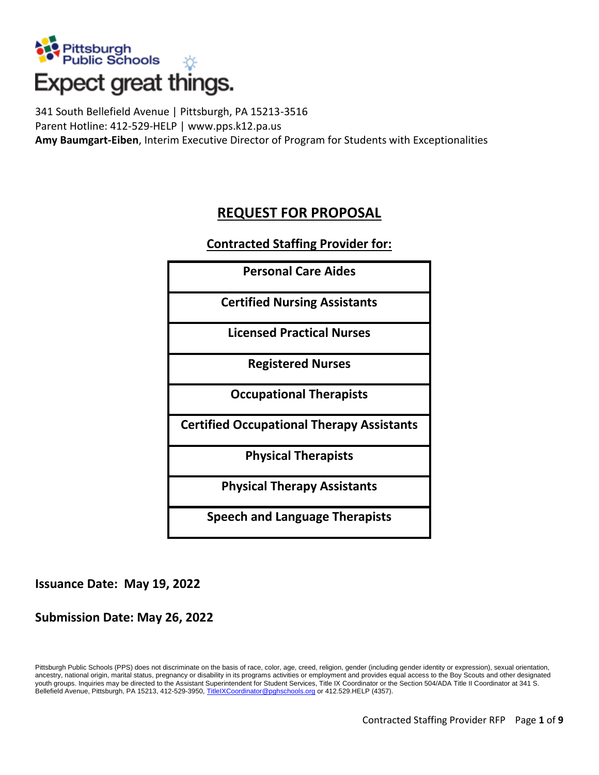

# Expect great things.

341 South Bellefield Avenue | Pittsburgh, PA 15213-3516 Parent Hotline: 412-529-HELP | www.pps.k12.pa.us **Amy Baumgart-Eiben**, Interim Executive Director of Program for Students with Exceptionalities

## **REQUEST FOR PROPOSAL**

#### **Contracted Staffing Provider for:**

| <b>Personal Care Aides</b>                       |
|--------------------------------------------------|
| <b>Certified Nursing Assistants</b>              |
| <b>Licensed Practical Nurses</b>                 |
| <b>Registered Nurses</b>                         |
| <b>Occupational Therapists</b>                   |
| <b>Certified Occupational Therapy Assistants</b> |
| <b>Physical Therapists</b>                       |
| <b>Physical Therapy Assistants</b>               |
| <b>Speech and Language Therapists</b>            |

#### **Issuance Date: May 19, 2022**

#### **Submission Date: May 26, 2022**

Pittsburgh Public Schools (PPS) does not discriminate on the basis of race, color, age, creed, religion, gender (including gender identity or expression), sexual orientation, ancestry, national origin, marital status, pregnancy or disability in its programs activities or employment and provides equal access to the Boy Scouts and other designated youth groups. Inquiries may be directed to the Assistant Superintendent for Student Services, Title IX Coordinator or the Section 504/ADA Title II Coordinator at 341 S. Bellefield Avenue, Pittsburgh, PA 15213, 412-529-3950, [TitleIXCoordinator@pghschools.org](mailto:TitleIXCoordinator@pghschools.org) or 412.529.HELP (4357).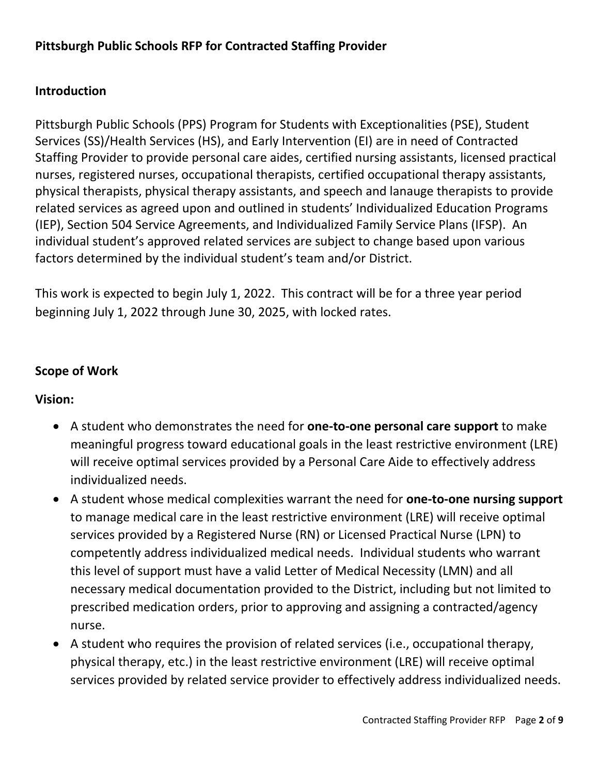## **Introduction**

Pittsburgh Public Schools (PPS) Program for Students with Exceptionalities (PSE), Student Services (SS)/Health Services (HS), and Early Intervention (EI) are in need of Contracted Staffing Provider to provide personal care aides, certified nursing assistants, licensed practical nurses, registered nurses, occupational therapists, certified occupational therapy assistants, physical therapists, physical therapy assistants, and speech and lanauge therapists to provide related services as agreed upon and outlined in students' Individualized Education Programs (IEP), Section 504 Service Agreements, and Individualized Family Service Plans (IFSP). An individual student's approved related services are subject to change based upon various factors determined by the individual student's team and/or District.

This work is expected to begin July 1, 2022. This contract will be for a three year period beginning July 1, 2022 through June 30, 2025, with locked rates.

#### **Scope of Work**

#### **Vision:**

- A student who demonstrates the need for **one-to-one personal care support** to make meaningful progress toward educational goals in the least restrictive environment (LRE) will receive optimal services provided by a Personal Care Aide to effectively address individualized needs.
- A student whose medical complexities warrant the need for **one-to-one nursing support** to manage medical care in the least restrictive environment (LRE) will receive optimal services provided by a Registered Nurse (RN) or Licensed Practical Nurse (LPN) to competently address individualized medical needs. Individual students who warrant this level of support must have a valid Letter of Medical Necessity (LMN) and all necessary medical documentation provided to the District, including but not limited to prescribed medication orders, prior to approving and assigning a contracted/agency nurse.
- A student who requires the provision of related services (i.e., occupational therapy, physical therapy, etc.) in the least restrictive environment (LRE) will receive optimal services provided by related service provider to effectively address individualized needs.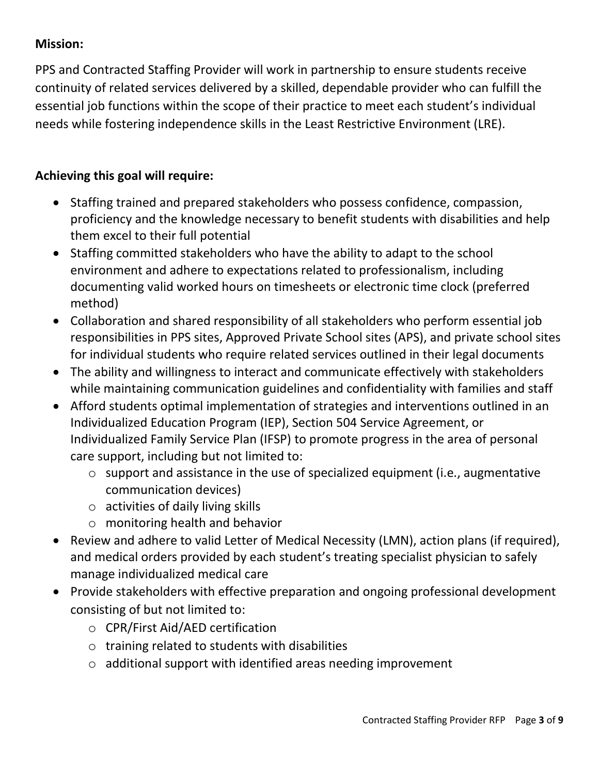## **Mission:**

PPS and Contracted Staffing Provider will work in partnership to ensure students receive continuity of related services delivered by a skilled, dependable provider who can fulfill the essential job functions within the scope of their practice to meet each student's individual needs while fostering independence skills in the Least Restrictive Environment (LRE).

## **Achieving this goal will require:**

- Staffing trained and prepared stakeholders who possess confidence, compassion, proficiency and the knowledge necessary to benefit students with disabilities and help them excel to their full potential
- Staffing committed stakeholders who have the ability to adapt to the school environment and adhere to expectations related to professionalism, including documenting valid worked hours on timesheets or electronic time clock (preferred method)
- Collaboration and shared responsibility of all stakeholders who perform essential job responsibilities in PPS sites, Approved Private School sites (APS), and private school sites for individual students who require related services outlined in their legal documents
- The ability and willingness to interact and communicate effectively with stakeholders while maintaining communication guidelines and confidentiality with families and staff
- Afford students optimal implementation of strategies and interventions outlined in an Individualized Education Program (IEP), Section 504 Service Agreement, or Individualized Family Service Plan (IFSP) to promote progress in the area of personal care support, including but not limited to:
	- o support and assistance in the use of specialized equipment (i.e., augmentative communication devices)
	- $\circ$  activities of daily living skills
	- o monitoring health and behavior
- Review and adhere to valid Letter of Medical Necessity (LMN), action plans (if required), and medical orders provided by each student's treating specialist physician to safely manage individualized medical care
- Provide stakeholders with effective preparation and ongoing professional development consisting of but not limited to:
	- o CPR/First Aid/AED certification
	- $\circ$  training related to students with disabilities
	- o additional support with identified areas needing improvement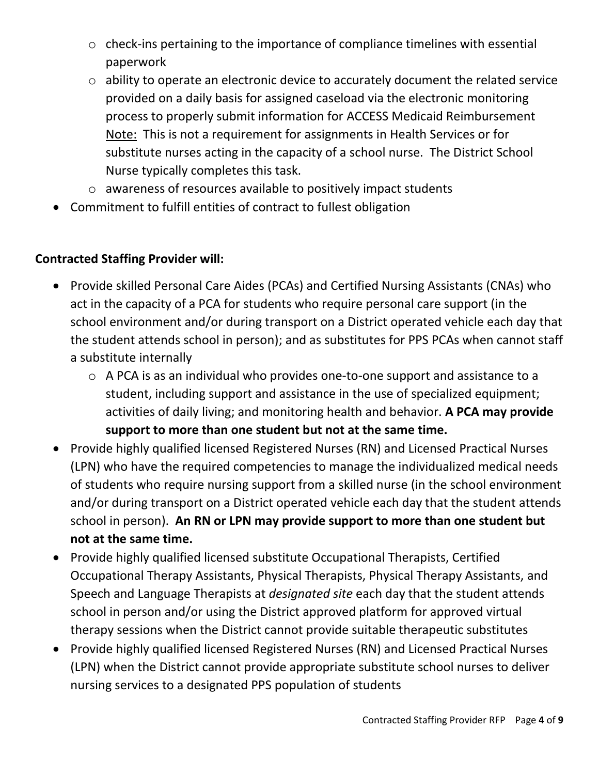- o check-ins pertaining to the importance of compliance timelines with essential paperwork
- o ability to operate an electronic device to accurately document the related service provided on a daily basis for assigned caseload via the electronic monitoring process to properly submit information for ACCESS Medicaid Reimbursement Note: This is not a requirement for assignments in Health Services or for substitute nurses acting in the capacity of a school nurse. The District School Nurse typically completes this task.
- o awareness of resources available to positively impact students
- Commitment to fulfill entities of contract to fullest obligation

## **Contracted Staffing Provider will:**

- Provide skilled Personal Care Aides (PCAs) and Certified Nursing Assistants (CNAs) who act in the capacity of a PCA for students who require personal care support (in the school environment and/or during transport on a District operated vehicle each day that the student attends school in person); and as substitutes for PPS PCAs when cannot staff a substitute internally
	- o A PCA is as an individual who provides one-to-one support and assistance to a student, including support and assistance in the use of specialized equipment; activities of daily living; and monitoring health and behavior. **A PCA may provide support to more than one student but not at the same time.**
- Provide highly qualified licensed Registered Nurses (RN) and Licensed Practical Nurses (LPN) who have the required competencies to manage the individualized medical needs of students who require nursing support from a skilled nurse (in the school environment and/or during transport on a District operated vehicle each day that the student attends school in person). **An RN or LPN may provide support to more than one student but not at the same time.**
- Provide highly qualified licensed substitute Occupational Therapists, Certified Occupational Therapy Assistants, Physical Therapists, Physical Therapy Assistants, and Speech and Language Therapists at *designated site* each day that the student attends school in person and/or using the District approved platform for approved virtual therapy sessions when the District cannot provide suitable therapeutic substitutes
- Provide highly qualified licensed Registered Nurses (RN) and Licensed Practical Nurses (LPN) when the District cannot provide appropriate substitute school nurses to deliver nursing services to a designated PPS population of students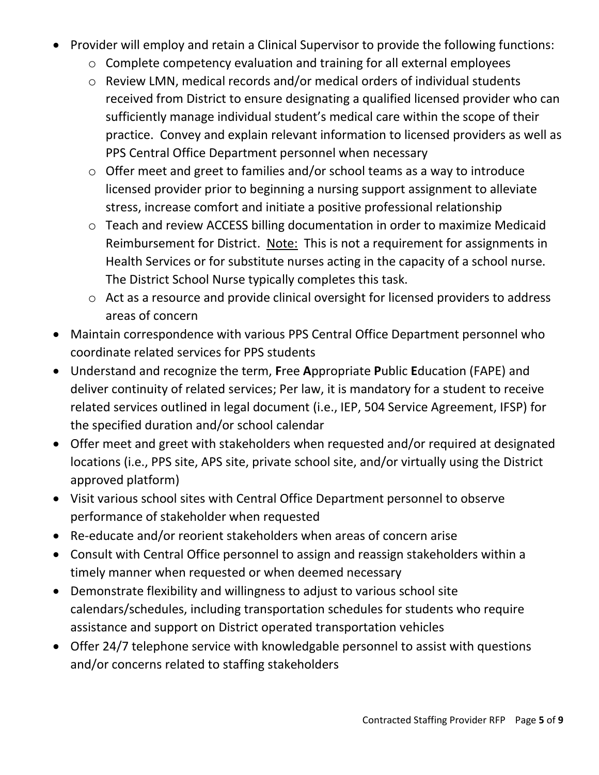- Provider will employ and retain a Clinical Supervisor to provide the following functions:
	- o Complete competency evaluation and training for all external employees
	- o Review LMN, medical records and/or medical orders of individual students received from District to ensure designating a qualified licensed provider who can sufficiently manage individual student's medical care within the scope of their practice. Convey and explain relevant information to licensed providers as well as PPS Central Office Department personnel when necessary
	- o Offer meet and greet to families and/or school teams as a way to introduce licensed provider prior to beginning a nursing support assignment to alleviate stress, increase comfort and initiate a positive professional relationship
	- o Teach and review ACCESS billing documentation in order to maximize Medicaid Reimbursement for District. Note: This is not a requirement for assignments in Health Services or for substitute nurses acting in the capacity of a school nurse. The District School Nurse typically completes this task.
	- o Act as a resource and provide clinical oversight for licensed providers to address areas of concern
- Maintain correspondence with various PPS Central Office Department personnel who coordinate related services for PPS students
- Understand and recognize the term, **F**ree **A**ppropriate **P**ublic **E**ducation (FAPE) and deliver continuity of related services; Per law, it is mandatory for a student to receive related services outlined in legal document (i.e., IEP, 504 Service Agreement, IFSP) for the specified duration and/or school calendar
- Offer meet and greet with stakeholders when requested and/or required at designated locations (i.e., PPS site, APS site, private school site, and/or virtually using the District approved platform)
- Visit various school sites with Central Office Department personnel to observe performance of stakeholder when requested
- Re-educate and/or reorient stakeholders when areas of concern arise
- Consult with Central Office personnel to assign and reassign stakeholders within a timely manner when requested or when deemed necessary
- Demonstrate flexibility and willingness to adjust to various school site calendars/schedules, including transportation schedules for students who require assistance and support on District operated transportation vehicles
- Offer 24/7 telephone service with knowledgable personnel to assist with questions and/or concerns related to staffing stakeholders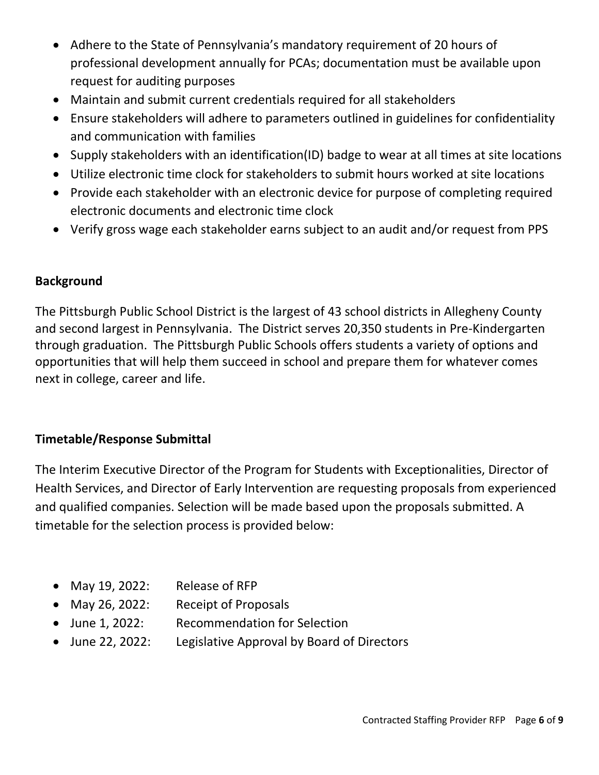- Adhere to the State of Pennsylvania's mandatory requirement of 20 hours of professional development annually for PCAs; documentation must be available upon request for auditing purposes
- Maintain and submit current credentials required for all stakeholders
- Ensure stakeholders will adhere to parameters outlined in guidelines for confidentiality and communication with families
- Supply stakeholders with an identification(ID) badge to wear at all times at site locations
- Utilize electronic time clock for stakeholders to submit hours worked at site locations
- Provide each stakeholder with an electronic device for purpose of completing required electronic documents and electronic time clock
- Verify gross wage each stakeholder earns subject to an audit and/or request from PPS

#### **Background**

The Pittsburgh Public School District is the largest of 43 school districts in Allegheny County and second largest in Pennsylvania. The District serves 20,350 students in Pre-Kindergarten through graduation. The Pittsburgh Public Schools offers students a variety of options and opportunities that will help them succeed in school and prepare them for whatever comes next in college, career and life.

## **Timetable/Response Submittal**

The Interim Executive Director of the Program for Students with Exceptionalities, Director of Health Services, and Director of Early Intervention are requesting proposals from experienced and qualified companies. Selection will be made based upon the proposals submitted. A timetable for the selection process is provided below:

- May 19, 2022: Release of RFP
- May 26, 2022: Receipt of Proposals
- June 1, 2022: Recommendation for Selection
- June 22, 2022: Legislative Approval by Board of Directors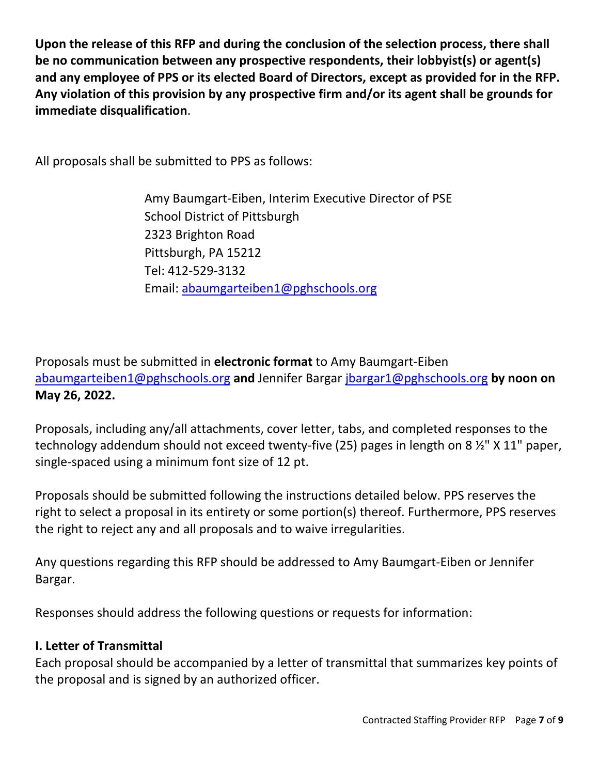**Upon the release of this RFP and during the conclusion of the selection process, there shall be no communication between any prospective respondents, their lobbyist(s) or agent(s) and any employee of PPS or its elected Board of Directors, except as provided for in the RFP. Any violation of this provision by any prospective firm and/or its agent shall be grounds for immediate disqualification**.

All proposals shall be submitted to PPS as follows:

Amy Baumgart-Eiben, Interim Executive Director of PSE School District of Pittsburgh 2323 Brighton Road Pittsburgh, PA 15212 Tel: 412-529-3132 Email: [abaumgarteiben1@pghschools.org](mailto:abaumgarteiben1@pghschools.org)

Proposals must be submitted in **electronic format** to Amy Baumgart-Eiben [abaumgarteiben1@pghschools.org](mailto:abaumgarteiben1@pghschools.org) **and** Jennifer Bargar [jbargar1@pghschools.org](mailto:jbargar1@pghschools.org) **by noon on May 26, 2022.** 

Proposals, including any/all attachments, cover letter, tabs, and completed responses to the technology addendum should not exceed twenty-five (25) pages in length on 8  $\frac{1}{2}$ " X 11" paper, single-spaced using a minimum font size of 12 pt.

Proposals should be submitted following the instructions detailed below. PPS reserves the right to select a proposal in its entirety or some portion(s) thereof. Furthermore, PPS reserves the right to reject any and all proposals and to waive irregularities.

Any questions regarding this RFP should be addressed to Amy Baumgart-Eiben or Jennifer Bargar.

Responses should address the following questions or requests for information:

#### **I. Letter of Transmittal**

Each proposal should be accompanied by a letter of transmittal that summarizes key points of the proposal and is signed by an authorized officer.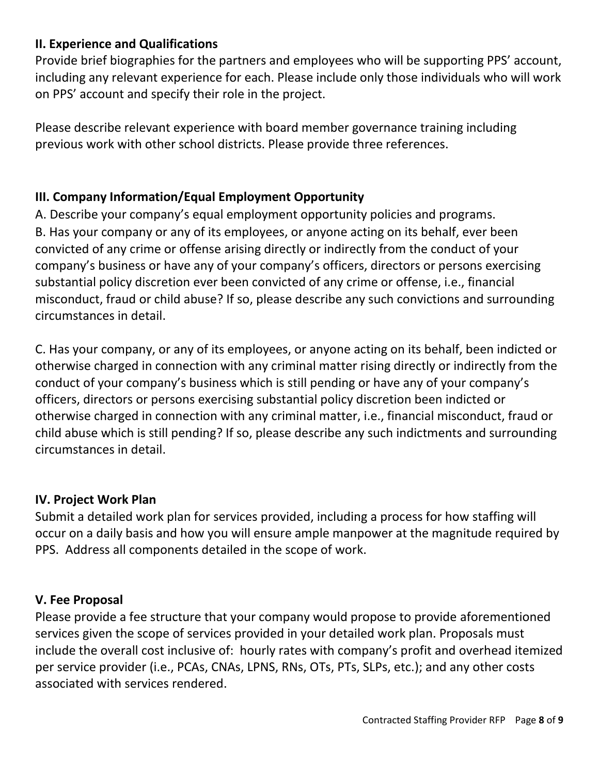## **II. Experience and Qualifications**

Provide brief biographies for the partners and employees who will be supporting PPS' account, including any relevant experience for each. Please include only those individuals who will work on PPS' account and specify their role in the project.

Please describe relevant experience with board member governance training including previous work with other school districts. Please provide three references.

#### **III. Company Information/Equal Employment Opportunity**

A. Describe your company's equal employment opportunity policies and programs. B. Has your company or any of its employees, or anyone acting on its behalf, ever been convicted of any crime or offense arising directly or indirectly from the conduct of your company's business or have any of your company's officers, directors or persons exercising substantial policy discretion ever been convicted of any crime or offense, i.e., financial misconduct, fraud or child abuse? If so, please describe any such convictions and surrounding circumstances in detail.

C. Has your company, or any of its employees, or anyone acting on its behalf, been indicted or otherwise charged in connection with any criminal matter rising directly or indirectly from the conduct of your company's business which is still pending or have any of your company's officers, directors or persons exercising substantial policy discretion been indicted or otherwise charged in connection with any criminal matter, i.e., financial misconduct, fraud or child abuse which is still pending? If so, please describe any such indictments and surrounding circumstances in detail.

#### **IV. Project Work Plan**

Submit a detailed work plan for services provided, including a process for how staffing will occur on a daily basis and how you will ensure ample manpower at the magnitude required by PPS. Address all components detailed in the scope of work.

#### **V. Fee Proposal**

Please provide a fee structure that your company would propose to provide aforementioned services given the scope of services provided in your detailed work plan. Proposals must include the overall cost inclusive of: hourly rates with company's profit and overhead itemized per service provider (i.e., PCAs, CNAs, LPNS, RNs, OTs, PTs, SLPs, etc.); and any other costs associated with services rendered.